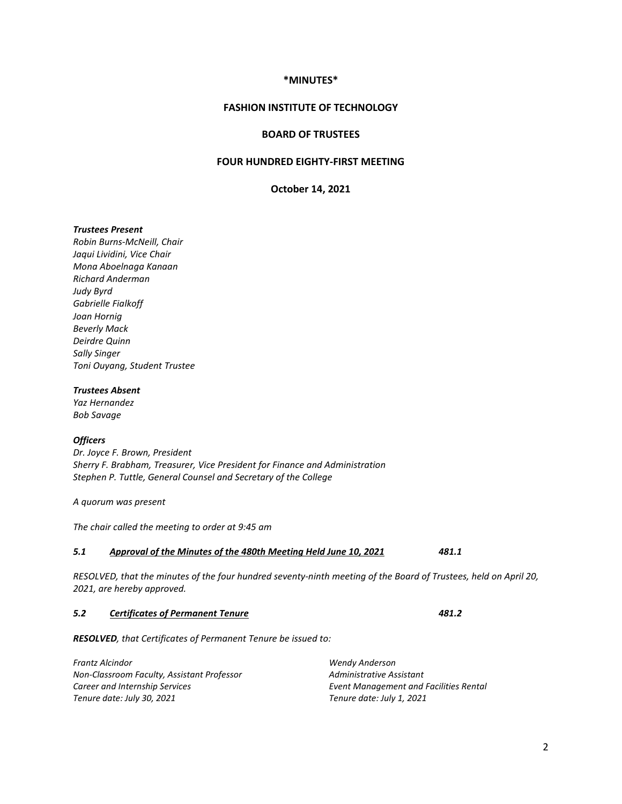## **\*MINUTES\***

## **FASHION INSTITUTE OF TECHNOLOGY**

### **BOARD OF TRUSTEES**

# **FOUR HUNDRED EIGHTY-FIRST MEETING**

**October 14, 2021**

### *Trustees Present*

*Robin Burns-McNeill, Chair Jaqui Lividini, Vice Chair Mona Aboelnaga Kanaan Richard Anderman Judy Byrd Gabrielle Fialkoff Joan Hornig Beverly Mack Deirdre Quinn Sally Singer Toni Ouyang, Student Trustee*

### *Trustees Absent*

*Yaz Hernandez Bob Savage*

### *Officers*

*Dr. Joyce F. Brown, President Sherry F. Brabham, Treasurer, Vice President for Finance and Administration Stephen P. Tuttle, General Counsel and Secretary of the College*

*A quorum was present*

*The chair called the meeting to order at 9:45 am*

## *5.1 Approval of the Minutes of the 480th Meeting Held June 10, 2021 481.1*

*RESOLVED, that the minutes of the four hundred seventy-ninth meeting of the Board of Trustees, held on April 20, 2021, are hereby approved.*

### *5.2 Certificates of Permanent Tenure 481.2*

*RESOLVED, that Certificates of Permanent Tenure be issued to:* 

*Frantz Alcindor Non-Classroom Faculty, Assistant Professor Career and Internship Services Tenure date: July 30, 2021*

*Wendy Anderson Administrative Assistant Event Management and Facilities Rental Tenure date: July 1, 2021*

### 2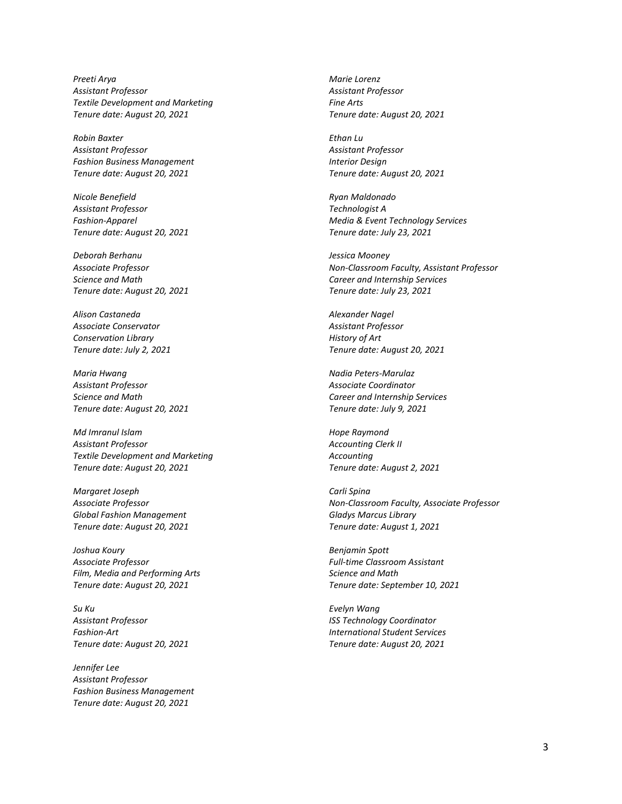*Preeti Arya Assistant Professor Textile Development and Marketing Tenure date: August 20, 2021*

*Robin Baxter Assistant Professor Fashion Business Management Tenure date: August 20, 2021*

*Nicole Benefield Assistant Professor Fashion-Apparel Tenure date: August 20, 2021*

*Deborah Berhanu Associate Professor Science and Math Tenure date: August 20, 2021*

*Alison Castaneda Associate Conservator Conservation Library Tenure date: July 2, 2021*

*Maria Hwang Assistant Professor Science and Math Tenure date: August 20, 2021*

*Md Imranul Islam Assistant Professor Textile Development and Marketing Tenure date: August 20, 2021*

*Margaret Joseph Associate Professor Global Fashion Management Tenure date: August 20, 2021*

*Joshua Koury Associate Professor Film, Media and Performing Arts Tenure date: August 20, 2021*

*Su Ku Assistant Professor Fashion-Art Tenure date: August 20, 2021*

*Jennifer Lee Assistant Professor Fashion Business Management Tenure date: August 20, 2021*

*Marie Lorenz Assistant Professor Fine Arts Tenure date: August 20, 2021*

*Ethan Lu Assistant Professor Interior Design Tenure date: August 20, 2021*

*Ryan Maldonado Technologist A Media & Event Technology Services Tenure date: July 23, 2021*

*Jessica Mooney Non-Classroom Faculty, Assistant Professor Career and Internship Services Tenure date: July 23, 2021*

*Alexander Nagel Assistant Professor History of Art Tenure date: August 20, 2021*

*Nadia Peters-Marulaz Associate Coordinator Career and Internship Services Tenure date: July 9, 2021*

*Hope Raymond Accounting Clerk II Accounting Tenure date: August 2, 2021*

*Carli Spina Non-Classroom Faculty, Associate Professor Gladys Marcus Library Tenure date: August 1, 2021*

*Benjamin Spott Full-time Classroom Assistant Science and Math Tenure date: September 10, 2021*

*Evelyn Wang ISS Technology Coordinator International Student Services Tenure date: August 20, 2021*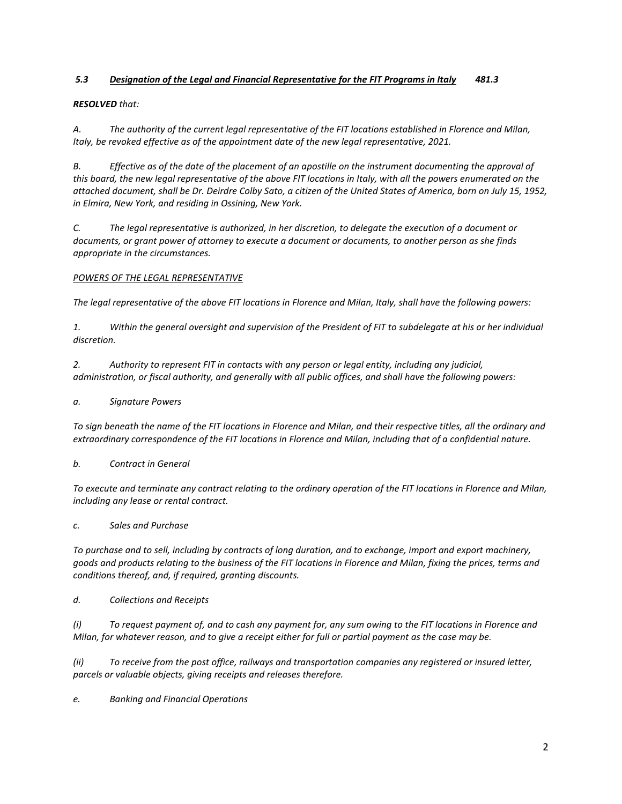# *5.3 Designation of the Legal and Financial Representative for the FIT Programs in Italy 481.3*

### *RESOLVED that:*

*A. The authority of the current legal representative of the FIT locations established in Florence and Milan, Italy, be revoked effective as of the appointment date of the new legal representative, 2021.*

*B. Effective as of the date of the placement of an apostille on the instrument documenting the approval of this board, the new legal representative of the above FIT locations in Italy, with all the powers enumerated on the attached document, shall be Dr. Deirdre Colby Sato, a citizen of the United States of America, born on July 15, 1952, in Elmira, New York, and residing in Ossining, New York.*

*C. The legal representative is authorized, in her discretion, to delegate the execution of a document or documents, or grant power of attorney to execute a document or documents, to another person as she finds appropriate in the circumstances.*

### *POWERS OF THE LEGAL REPRESENTATIVE*

*The legal representative of the above FIT locations in Florence and Milan, Italy, shall have the following powers:*

*1. Within the general oversight and supervision of the President of FIT to subdelegate at his or her individual discretion.*

*2. Authority to represent FIT in contacts with any person or legal entity, including any judicial, administration, or fiscal authority, and generally with all public offices, and shall have the following powers:*

### *a. Signature Powers*

*To sign beneath the name of the FIT locations in Florence and Milan, and their respective titles, all the ordinary and extraordinary correspondence of the FIT locations in Florence and Milan, including that of a confidential nature.*

## *b. Contract in General*

*To execute and terminate any contract relating to the ordinary operation of the FIT locations in Florence and Milan, including any lease or rental contract.*

*c. Sales and Purchase*

*To purchase and to sell, including by contracts of long duration, and to exchange, import and export machinery, goods and products relating to the business of the FIT locations in Florence and Milan, fixing the prices, terms and conditions thereof, and, if required, granting discounts.*

*d. Collections and Receipts*

*(i) To request payment of, and to cash any payment for, any sum owing to the FIT locations in Florence and Milan, for whatever reason, and to give a receipt either for full or partial payment as the case may be.*

*(ii) To receive from the post office, railways and transportation companies any registered or insured letter, parcels or valuable objects, giving receipts and releases therefore.*

*e. Banking and Financial Operations*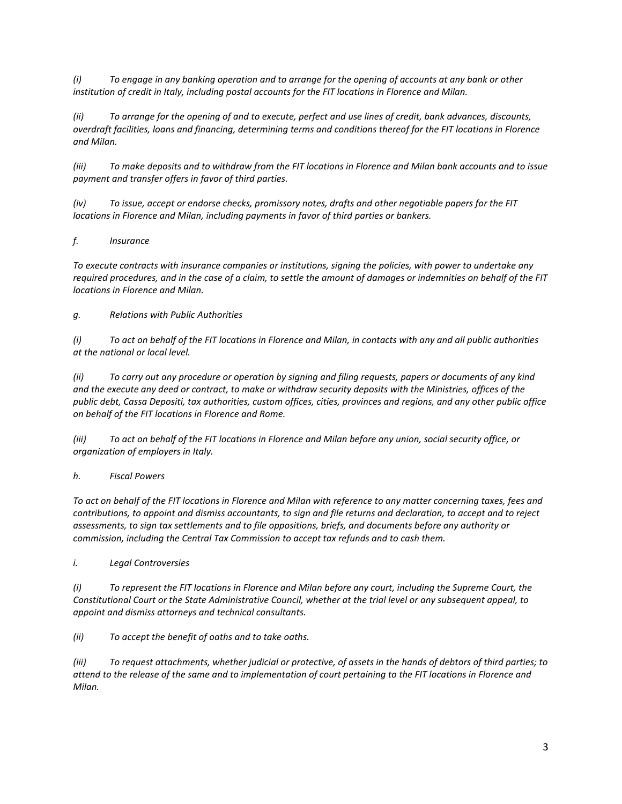*(i) To engage in any banking operation and to arrange for the opening of accounts at any bank or other institution of credit in Italy, including postal accounts for the FIT locations in Florence and Milan.*

*(ii) To arrange for the opening of and to execute, perfect and use lines of credit, bank advances, discounts, overdraft facilities, loans and financing, determining terms and conditions thereof for the FIT locations in Florence and Milan.*

*(iii) To make deposits and to withdraw from the FIT locations in Florence and Milan bank accounts and to issue payment and transfer offers in favor of third parties.*

*(iv) To issue, accept or endorse checks, promissory notes, drafts and other negotiable papers for the FIT locations in Florence and Milan, including payments in favor of third parties or bankers.*

## *f. Insurance*

*To execute contracts with insurance companies or institutions, signing the policies, with power to undertake any required procedures, and in the case of a claim, to settle the amount of damages or indemnities on behalf of the FIT locations in Florence and Milan.*

## *g. Relations with Public Authorities*

*(i) To act on behalf of the FIT locations in Florence and Milan, in contacts with any and all public authorities at the national or local level.*

*(ii) To carry out any procedure or operation by signing and filing requests, papers or documents of any kind and the execute any deed or contract, to make or withdraw security deposits with the Ministries, offices of the public debt, Cassa Depositi, tax authorities, custom offices, cities, provinces and regions, and any other public office on behalf of the FIT locations in Florence and Rome.*

*(iii) To act on behalf of the FIT locations in Florence and Milan before any union, social security office, or organization of employers in Italy.*

## *h. Fiscal Powers*

*To act on behalf of the FIT locations in Florence and Milan with reference to any matter concerning taxes, fees and contributions, to appoint and dismiss accountants, to sign and file returns and declaration, to accept and to reject assessments, to sign tax settlements and to file oppositions, briefs, and documents before any authority or commission, including the Central Tax Commission to accept tax refunds and to cash them.*

*i. Legal Controversies*

*(i) To represent the FIT locations in Florence and Milan before any court, including the Supreme Court, the Constitutional Court or the State Administrative Council, whether at the trial level or any subsequent appeal, to appoint and dismiss attorneys and technical consultants.*

*(ii) To accept the benefit of oaths and to take oaths.*

*(iii) To request attachments, whether judicial or protective, of assets in the hands of debtors of third parties; to attend to the release of the same and to implementation of court pertaining to the FIT locations in Florence and Milan.*